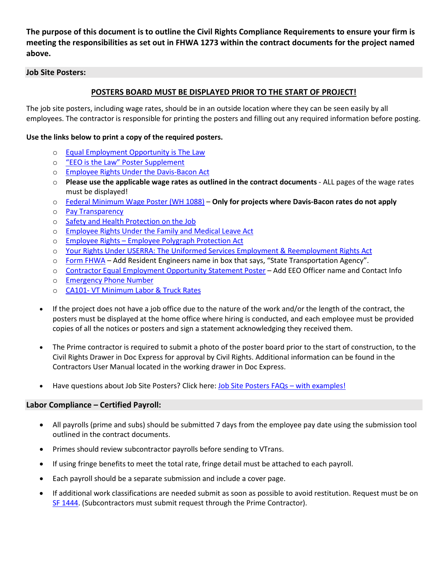**The purpose of this document is to outline the Civil Rights Compliance Requirements to ensure your firm is meeting the responsibilities as set out in FHWA 1273 within the contract documents for the project named above.** 

## **Job Site Posters:**

# **POSTERS BOARD MUST BE DISPLAYED PRIOR TO THE START OF PROJECT!**

The job site posters, including wage rates, should be in an outside location where they can be seen easily by all employees. The contractor is responsible for printing the posters and filling out any required information before posting.

## **Use the links below to print a copy of the required posters.**

- o [Equal Employment Opportunity is The Law](https://vtrans.vermont.gov/sites/aot/files/civilrights/documents/laborcompliance/eeopostSmallVersion.pdf)
- o ["EEO is the Law" Poster Supplement](https://vtrans.vermont.gov/sites/aot/files/civilrights/documents/laborcompliance/OFCCP_EEO_Supplement_Final_JRF_QA_508c.pdf)
- o [Employee Rights Under the Davis-Bacon Act](https://vtrans.vermont.gov/sites/aot/files/civilrights/documents/laborcompliance/WH1321fedprojc.pdf)
- o **Please use the applicable wage rates as outlined in the contract documents** ALL pages of the wage rates must be displayed!
- o [Federal Minimum Wage Poster \(WH 1088\)](https://vtrans.vermont.gov/sites/aot/files/civilrights/documents/laborcompliance/minwagep.pdf) **Only for projects where Davis-Bacon rates do not apply**
- o [Pay Transparency](https://vtrans.vermont.gov/sites/aot/files/civilrights/documents/laborcompliance/paytranspEnglishformattedESQA508c.pdf)
- o [Safety and Health Protection on the](https://vtrans.vermont.gov/sites/aot/files/civilrights/documents/laborcompliance/VOSHASafetyPoster.pdf) Job
- o [Employee Rights Under the Family and Medical Leave Act](https://vtrans.vermont.gov/sites/aot/files/civilrights/documents/laborcompliance/fmlaenWHD%20Publication%201420.pdf)
- o Employee Rights [Employee Polygraph Protection Act](https://vtrans.vermont.gov/sites/aot/files/civilrights/documents/laborcompliance/WH1462.pdf)
- o [Your Rights Under USERRA: The Uniformed Services Employment & Reemployment Rights Act](https://vtrans.vermont.gov/sites/aot/files/civilrights/documents/laborcompliance/USERRA_Federal.pdf)
- o [Form FHWA](https://vtrans.vermont.gov/sites/aot/files/civilrights/documents/laborcompliance/fhwa1022.pdf) Add Resident Engineers name in box that says, "State Transportation Agency".
- o [Contractor Equal Employment Opportunity Statement Poster](https://vtrans.vermont.gov/sites/aot/files/civilrights/documents/laborcompliance/ContractorEEOStatementPoster.pdf) Add EEO Officer name and Contact Info
- o [Emergency Phone Number](https://vtrans.vermont.gov/sites/aot/files/civilrights/documents/laborcompliance/EmergencyPhoneNumbers.pdf)
- o CA101- [VT Minimum Labor & Truck Rates](https://vtrans.vermont.gov/sites/aot/files/civilrights/documents/laborcompliance/CA101.pdf)
- If the project does not have a job office due to the nature of the work and/or the length of the contract, the posters must be displayed at the home office where hiring is conducted, and each employee must be provided copies of all the notices or posters and sign a statement acknowledging they received them.
- The Prime contractor is required to submit a photo of the poster board prior to the start of construction, to the Civil Rights Drawer in Doc Express for approval by Civil Rights. Additional information can be found in the Contractors User Manual located in the working drawer in Doc Express.
- Have questions about Job Site Posters? Click here: Job Site [Posters FAQs –](https://vtrans.vermont.gov/sites/aot/files/civilrights/documents/laborcompliance/JobsitePostersFAQs.pdf) with examples!

## **Labor Compliance – Certified Payroll:**

- All payrolls (prime and subs) should be submitted 7 days from the employee pay date using the submission tool outlined in the contract documents.
- Primes should review subcontractor payrolls before sending to VTrans.
- If using fringe benefits to meet the total rate, fringe detail must be attached to each payroll.
- Each payroll should be a separate submission and include a cover page.
- If additional work classifications are needed submit as soon as possible to avoid restitution. Request must be on [SF 1444.](https://vtrans.vermont.gov/sites/aot/files/civilrights/documents/laborcompliance/SF1444.pdf) (Subcontractors must submit request through the Prime Contractor).